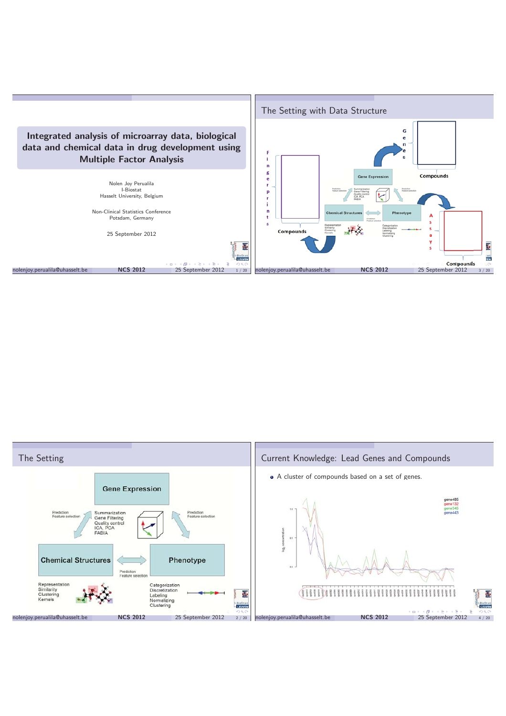

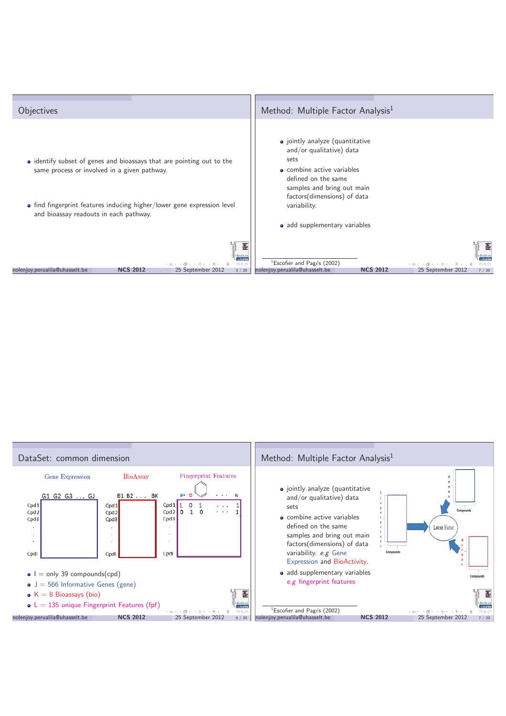

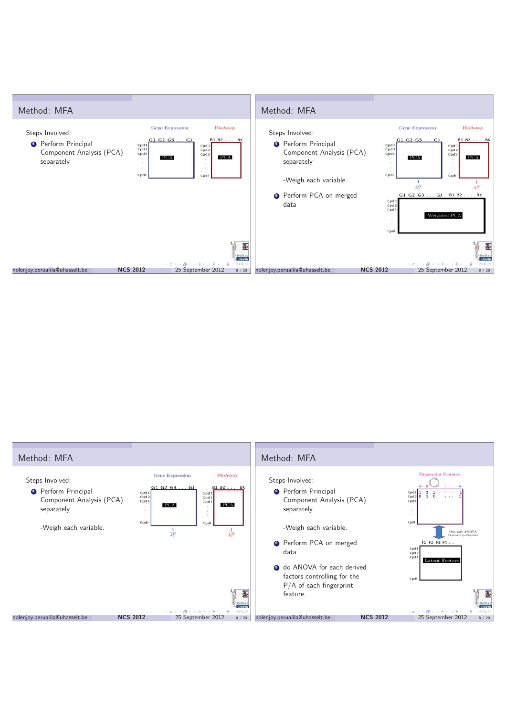

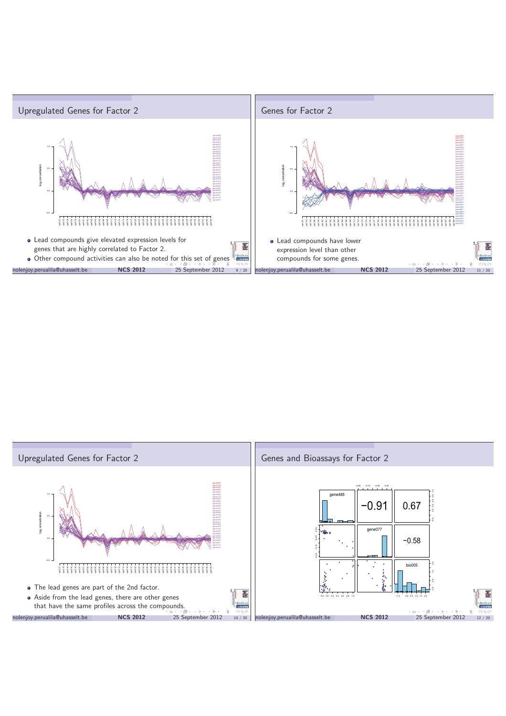

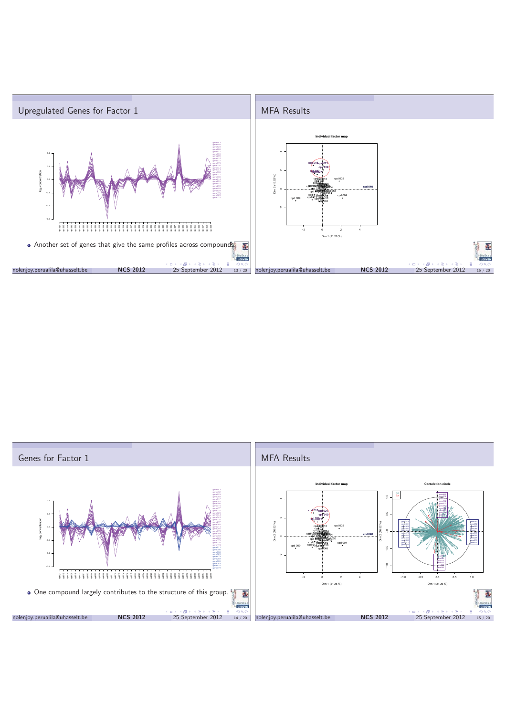

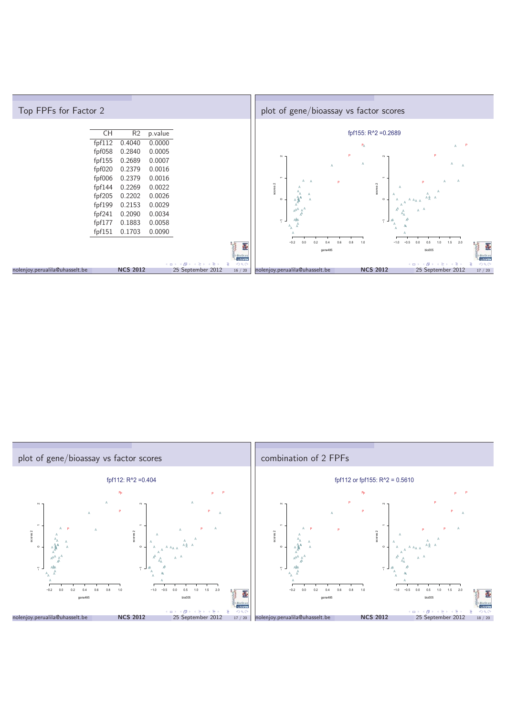